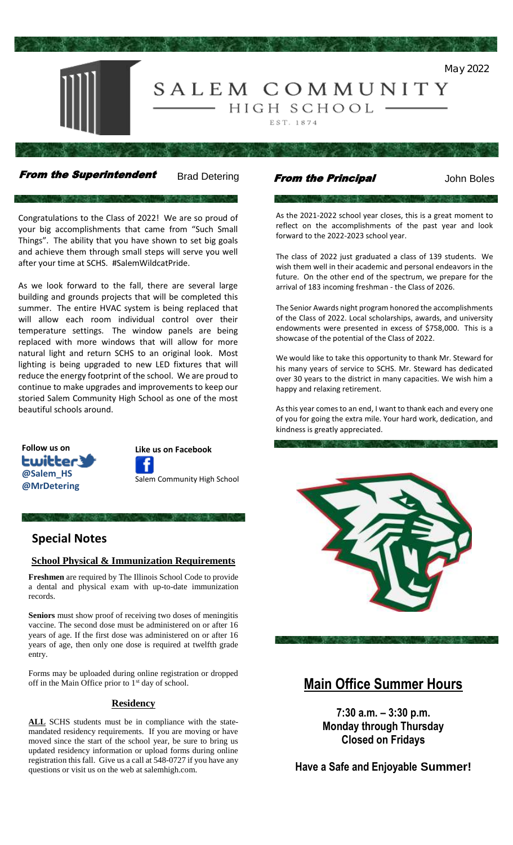

From the Superintendent Brad Detering From the Principal Solohn Boles

Congratulations to the Class of 2022! We are so proud of your big accomplishments that came from "Such Small Things". The ability that you have shown to set big goals and achieve them through small steps will serve you well after your time at SCHS. #SalemWildcatPride.

As we look forward to the fall, there are several large building and grounds projects that will be completed this summer. The entire HVAC system is being replaced that will allow each room individual control over their temperature settings. The window panels are being replaced with more windows that will allow for more natural light and return SCHS to an original look. Most lighting is being upgraded to new LED fixtures that will reduce the energy footprint of the school. We are proud to continue to make upgrades and improvements to keep our storied Salem Community High School as one of the most beautiful schools around.



**Like us on Facebook** Salem Community High School

# **Special Notes**

#### **School Physical & Immunization Requirements**

**Freshmen** are required by The Illinois School Code to provide a dental and physical exam with up-to-date immunization records.

**Seniors** must show proof of receiving two doses of meningitis vaccine. The second dose must be administered on or after 16 years of age. If the first dose was administered on or after 16 years of age, then only one dose is required at twelfth grade entry.

Forms may be uploaded during online registration or dropped off in the Main Office prior to 1<sup>st</sup> day of school.

#### **Residency**

**ALL** SCHS students must be in compliance with the statemandated residency requirements. If you are moving or have moved since the start of the school year, be sure to bring us updated residency information or upload forms during online registration this fall. Give us a call at 548-0727 if you have any questions or visit us on the web at salemhigh.com.

As the 2021-2022 school year closes, this is a great moment to reflect on the accomplishments of the past year and look forward to the 2022-2023 school year.

The class of 2022 just graduated a class of 139 students. We wish them well in their academic and personal endeavors in the future. On the other end of the spectrum, we prepare for the arrival of 183 incoming freshman - the Class of 2026.

The Senior Awards night program honored the accomplishments of the Class of 2022. Local scholarships, awards, and university endowments were presented in excess of \$758,000. This is a showcase of the potential of the Class of 2022.

We would like to take this opportunity to thank Mr. Steward for his many years of service to SCHS. Mr. Steward has dedicated over 30 years to the district in many capacities. We wish him a happy and relaxing retirement.

As this year comes to an end, I want to thank each and every one of you for going the extra mile. Your hard work, dedication, and kindness is greatly appreciated.





**Main Office Summer Hours**

**7:30 a.m. – 3:30 p.m. Monday through Thursday Closed on Fridays**

**Have a Safe and Enjoyable Summer!**